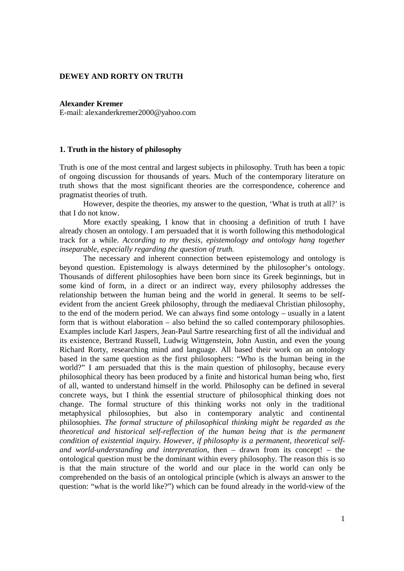# **DEWEY AND RORTY ON TRUTH**

## **Alexander Kremer**

E-mail: alexanderkremer2000@yahoo.com

## **1. Truth in the history of philosophy**

Truth is one of the most central and largest subjects in philosophy. Truth has been a topic of ongoing discussion for thousands of years. Much of the contemporary literature on truth shows that the most significant theories are the correspondence, coherence and pragmatist theories of truth.

 However, despite the theories, my answer to the question, 'What is truth at all?' is that I do not know.

 More exactly speaking, I know that in choosing a definition of truth I have already chosen an ontology. I am persuaded that it is worth following this methodological track for a while. *According to my thesis, epistemology and ontology hang together inseparable, especially regarding the question of truth.*

 The necessary and inherent connection between epistemology and ontology is beyond question. Epistemology is always determined by the philosopher's ontology. Thousands of different philosophies have been born since its Greek beginnings, but in some kind of form, in a direct or an indirect way, every philosophy addresses the relationship between the human being and the world in general. It seems to be selfevident from the ancient Greek philosophy, through the mediaeval Christian philosophy, to the end of the modern period. We can always find some ontology – usually in a latent form that is without elaboration – also behind the so called contemporary philosophies. Examples include Karl Jaspers, Jean-Paul Sartre researching first of all the individual and its existence, Bertrand Russell, Ludwig Wittgenstein, John Austin, and even the young Richard Rorty, researching mind and language. All based their work on an ontology based in the same question as the first philosophers: "Who is the human being in the world?" I am persuaded that this is the main question of philosophy, because every philosophical theory has been produced by a finite and historical human being who, first of all, wanted to understand himself in the world. Philosophy can be defined in several concrete ways, but I think the essential structure of philosophical thinking does not change. The formal structure of this thinking works not only in the traditional metaphysical philosophies, but also in contemporary analytic and continental philosophies. *The formal structure of philosophical thinking might be regarded as the theoretical and historical self-reflection of the human being that is the permanent condition of existential inquiry. However, if philosophy is a permanent, theoretical selfand world-understanding and interpretation*, then – drawn from its concept! – the ontological question must be the dominant within every philosophy. The reason this is so is that the main structure of the world and our place in the world can only be comprehended on the basis of an ontological principle (which is always an answer to the question: "what is the world like?") which can be found already in the world-view of the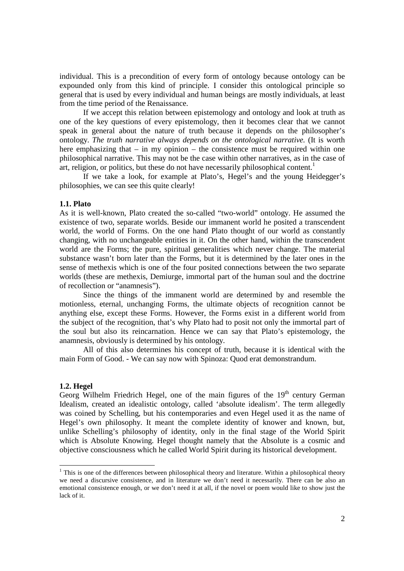individual. This is a precondition of every form of ontology because ontology can be expounded only from this kind of principle. I consider this ontological principle so general that is used by every individual and human beings are mostly individuals, at least from the time period of the Renaissance.

 If we accept this relation between epistemology and ontology and look at truth as one of the key questions of every epistemology, then it becomes clear that we cannot speak in general about the nature of truth because it depends on the philosopher's ontology. *The truth narrative always depends on the ontological narrative.* (It is worth here emphasizing that – in my opinion – the consistence must be required within one philosophical narrative. This may not be the case within other narratives, as in the case of art, religion, or politics, but these do not have necessarily philosophical content.<sup>1</sup>

 If we take a look, for example at Plato's, Hegel's and the young Heidegger's philosophies, we can see this quite clearly!

### **1.1. Plato**

As it is well-known, Plato created the so-called "two-world" ontology. He assumed the existence of two, separate worlds. Beside our immanent world he posited a transcendent world, the world of Forms. On the one hand Plato thought of our world as constantly changing, with no unchangeable entities in it. On the other hand, within the transcendent world are the Forms; the pure, spiritual generalities which never change. The material substance wasn't born later than the Forms, but it is determined by the later ones in the sense of methexis which is one of the four posited connections between the two separate worlds (these are methexis, Demiurge, immortal part of the human soul and the doctrine of recollection or "anamnesis").

 Since the things of the immanent world are determined by and resemble the motionless, eternal, unchanging Forms, the ultimate objects of recognition cannot be anything else, except these Forms. However, the Forms exist in a different world from the subject of the recognition, that's why Plato had to posit not only the immortal part of the soul but also its reincarnation. Hence we can say that Plato's epistemology, the anamnesis, obviously is determined by his ontology.

 All of this also determines his concept of truth, because it is identical with the main Form of Good. - We can say now with Spinoza: Quod erat demonstrandum.

#### **1.2. Hegel**

-

Georg Wilhelm Friedrich Hegel, one of the main figures of the  $19<sup>th</sup>$  century German Idealism, created an idealistic ontology, called 'absolute idealism'. The term allegedly was coined by Schelling, but his contemporaries and even Hegel used it as the name of Hegel's own philosophy. It meant the complete identity of knower and known, but, unlike Schelling's philosophy of identity, only in the final stage of the World Spirit which is Absolute Knowing. Hegel thought namely that the Absolute is a cosmic and objective consciousness which he called World Spirit during its historical development.

<sup>&</sup>lt;sup>1</sup> This is one of the differences between philosophical theory and literature. Within a philosophical theory we need a discursive consistence, and in literature we don't need it necessarily. There can be also an emotional consistence enough, or we don't need it at all, if the novel or poem would like to show just the lack of it.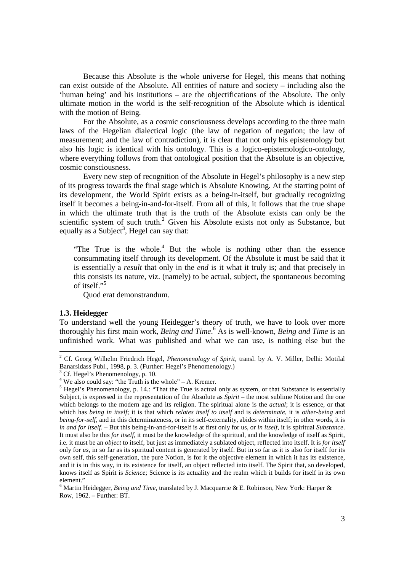Because this Absolute is the whole universe for Hegel, this means that nothing can exist outside of the Absolute. All entities of nature and society – including also the 'human being' and his institutions – are the objectifications of the Absolute. The only ultimate motion in the world is the self-recognition of the Absolute which is identical with the motion of Being.

 For the Absolute, as a cosmic consciousness develops according to the three main laws of the Hegelian dialectical logic (the law of negation of negation; the law of measurement; and the law of contradiction), it is clear that not only his epistemology but also his logic is identical with his ontology. This is a logico-epistemologico-ontology, where everything follows from that ontological position that the Absolute is an objective, cosmic consciousness.

 Every new step of recognition of the Absolute in Hegel's philosophy is a new step of its progress towards the final stage which is Absolute Knowing. At the starting point of its development, the World Spirit exists as a being-in-itself, but gradually recognizing itself it becomes a being-in-and-for-itself. From all of this, it follows that the true shape in which the ultimate truth that is the truth of the Absolute exists can only be the scientific system of such truth. $2$  Given his Absolute exists not only as Substance, but equally as a Subject<sup>3</sup>, Hegel can say that:

"The True is the whole. $4$  But the whole is nothing other than the essence consummating itself through its development. Of the Absolute it must be said that it is essentially a *result* that only in the *end* is it what it truly is; and that precisely in this consists its nature, viz. (namely) to be actual, subject, the spontaneous becoming of itself."<sup>5</sup>

Quod erat demonstrandum.

#### **1.3. Heidegger**

-

To understand well the young Heidegger's theory of truth, we have to look over more thoroughly his first main work, *Being and Time*. 6 As is well-known, *Being and Time* is an unfinished work. What was published and what we can use, is nothing else but the

<sup>2</sup> Cf. Georg Wilhelm Friedrich Hegel, *Phenomenology of Spirit,* transl. by A. V. Miller, Delhi: Motilal Banarsidass Publ., 1998, p. 3. (Further: Hegel's Phenomenology.)

<sup>&</sup>lt;sup>3</sup> Cf. Hegel's Phenomenology, p. 10.

 $4$  We also could say: "the Truth is the whole" – A. Kremer.

 $<sup>5</sup>$  Hegel's Phenomenology, p. 14.: "That the True is actual only as system, or that Substance is essentially</sup> Subject, is expressed in the representation of the Absolute as *Spirit* – the most sublime Notion and the one which belongs to the modern age and its religion. The spiritual alone is the *actual*; it is essence, or that which has *being in itself*; it is that which *relates itself to itself* and is *determinate*, it is *other-being* and *being-for-self*, and in this determinateness, or in its self-externality, abides within itself; in other words, it is *in and for itself*. – But this being-in-and-for-itself is at first only for us, or *in itself*, it is spiritual *Substance*. It must also be this *for itself*, it must be the knowledge of the spiritual, and the knowledge of itself as Spirit, i.e. it must be an *object* to itself, but just as immediately a sublated object, reflected into itself. It is *for itself* only for *us*, in so far as its spiritual content is generated by itself. But in so far as it is also for itself for its own self, this self-generation, the pure Notion, is for it the objective element in which it has its existence, and it is in this way, in its existence for itself, an object reflected into itself. The Spirit that, so developed, knows itself as Spirit is *Science*; Science is its actuality and the realm which it builds for itself in its own element."

<sup>6</sup> Martin Heidegger, *Being and Time*, translated by J. Macquarrie & E. Robinson, New York: Harper & Row, 1962. – Further: BT.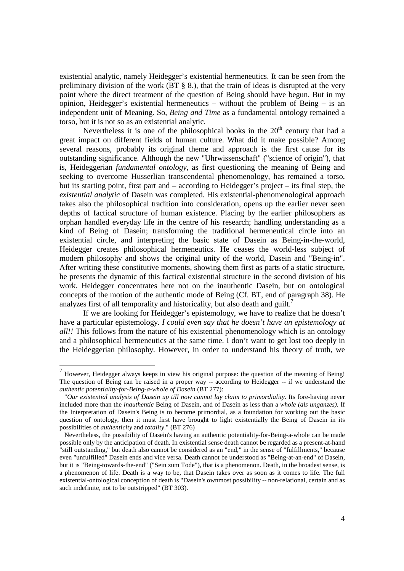existential analytic, namely Heidegger's existential hermeneutics. It can be seen from the preliminary division of the work (BT  $\S$  8.), that the train of ideas is disrupted at the very point where the direct treatment of the question of Being should have begun. But in my opinion, Heidegger's existential hermeneutics – without the problem of Being – is an independent unit of Meaning. So, *Being and Time* as a fundamental ontology remained a torso, but it is not so as an existential analytic.

Nevertheless it is one of the philosophical books in the  $20<sup>th</sup>$  century that had a great impact on different fields of human culture. What did it make possible? Among several reasons, probably its original theme and approach is the first cause for its outstanding significance. Although the new "Uhrwissenschaft" ("science of origin"), that is, Heideggerian *fundamental ontology*, as first questioning the meaning of Being and seeking to overcome Husserlian transcendental phenomenology, has remained a torso, but its starting point, first part and – according to Heidegger's project – its final step, the *existential analytic* of Dasein was completed. His existential-phenomenological approach takes also the philosophical tradition into consideration, opens up the earlier never seen depths of factical structure of human existence. Placing by the earlier philosophers as orphan handled everyday life in the centre of his research; handling understanding as a kind of Being of Dasein; transforming the traditional hermeneutical circle into an existential circle, and interpreting the basic state of Dasein as Being-in-the-world, Heidegger creates philosophical hermeneutics. He ceases the world-less subject of modern philosophy and shows the original unity of the world, Dasein and "Being-in". After writing these constitutive moments, showing them first as parts of a static structure, he presents the dynamic of this factical existential structure in the second division of his work. Heidegger concentrates here not on the inauthentic Dasein, but on ontological concepts of the motion of the authentic mode of Being (Cf. BT, end of paragraph 38). He analyzes first of all temporality and historicality, but also death and guilt.<sup>7</sup>

 If we are looking for Heidegger's epistemology, we have to realize that he doesn't have a particular epistemology. *I could even say that he doesn't have an epistemology at all!!* This follows from the nature of his existential phenomenology which is an ontology and a philosophical hermeneutics at the same time. I don't want to get lost too deeply in the Heideggerian philosophy. However, in order to understand his theory of truth, we

 $<sup>7</sup>$  However, Heidegger always keeps in view his original purpose: the question of the meaning of Being!</sup> The question of Being can be raised in a proper way -- according to Heidegger -- if we understand the *authentic potentiality-for-Being-a-whole of Dasein* (BT 277):

 <sup>&</sup>quot;*Our existential analysis of Dasein up till now cannot lay claim to primordiality*. Its fore-having never included more than the *inauthentic* Being of Dasein, and of Dasein as less than a *whole (als unganzes).* If the Interpretation of Dasein's Being is to become primordial, as a foundation for working out the basic question of ontology, then it must first have brought to light existentially the Being of Dasein in its possibilities of *authenticity* and *totality*." (BT 276)

Nevertheless, the possibility of Dasein's having an authentic potentiality-for-Being-a-whole can be made possible only by the anticipation of death. In existential sense death cannot be regarded as a present-at-hand "still outstanding," but death also cannot be considered as an "end," in the sense of "fulfillments," because even "unfulfilled" Dasein ends and vice versa. Death cannot be understood as "Being-at-an-end" of Dasein, but it is "Being-towards-the-end" ("Sein zum Tode"), that is a phenomenon. Death, in the broadest sense, is a phenomenon of life. Death is a way to be, that Dasein takes over as soon as it comes to life. The full existential-ontological conception of death is "Dasein's ownmost possibility -- non-relational, certain and as such indefinite, not to be outstripped" (BT 303).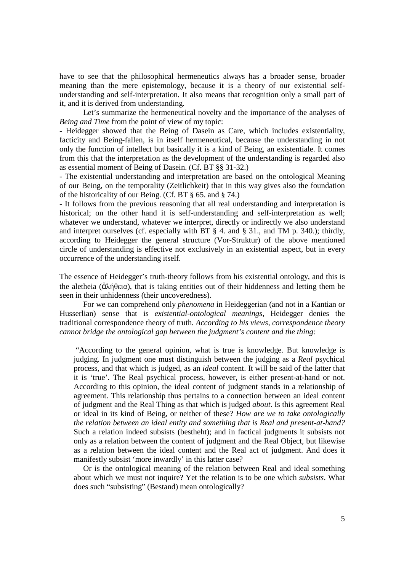have to see that the philosophical hermeneutics always has a broader sense, broader meaning than the mere epistemology, because it is a theory of our existential selfunderstanding and self-interpretation. It also means that recognition only a small part of it, and it is derived from understanding.

 Let's summarize the hermeneutical novelty and the importance of the analyses of *Being and Time* from the point of view of my topic:

- Heidegger showed that the Being of Dasein as Care, which includes existentiality, facticity and Being-fallen, is in itself hermeneutical, because the understanding in not only the function of intellect but basically it is a kind of Being, an existentiale. It comes from this that the interpretation as the development of the understanding is regarded also as essential moment of Being of Dasein. (Cf. BT §§ 31-32.)

- The existential understanding and interpretation are based on the ontological Meaning of our Being, on the temporality (Zeitlichkeit) that in this way gives also the foundation of the historicality of our Being. (Cf. BT § 65. and § 74.)

- It follows from the previous reasoning that all real understanding and interpretation is historical; on the other hand it is self-understanding and self-interpretation as well; whatever we understand, whatever we interpret, directly or indirectly we also understand and interpret ourselves (cf. especially with BT § 4. and § 31., and TM p. 340.); thirdly, according to Heidegger the general structure (Vor-Struktur) of the above mentioned circle of understanding is effective not exclusively in an existential aspect, but in every occurrence of the understanding itself.

The essence of Heidegger's truth-theory follows from his existential ontology, and this is the aletheia (ἀλήθεια), that is taking entities out of their hiddenness and letting them be seen in their unhidenness (their uncoveredness).

 For we can comprehend only *phenomena* in Heideggerian (and not in a Kantian or Husserlian) sense that is *existential-ontological meanings*, Heidegger denies the traditional correspondence theory of truth. *According to his views, correspondence theory cannot bridge the ontological gap between the judgment's content and the thing:*

 "According to the general opinion, what is true is knowledge. But knowledge is judging. In judgment one must distinguish between the judging as a *Real* psychical process, and that which is judged, as an *ideal* content. It will be said of the latter that it is 'true'. The Real psychical process, however, is either present-at-hand or not. According to this opinion, the ideal content of judgment stands in a relationship of agreement. This relationship thus pertains to a connection between an ideal content of judgment and the Real Thing as that which is judged *about*. Is this agreement Real or ideal in its kind of Being, or neither of these? *How are we to take ontologically the relation between an ideal entity and something that is Real and present-at-hand?* Such a relation indeed subsists (bestheht); and in factical judgments it subsists not only as a relation between the content of judgment and the Real Object, but likewise as a relation between the ideal content and the Real act of judgment. And does it manifestly subsist 'more inwardly' in this latter case?

 Or is the ontological meaning of the relation between Real and ideal something about which we must not inquire? Yet the relation is to be one which *subsists*. What does such "subsisting" (Bestand) mean ontologically?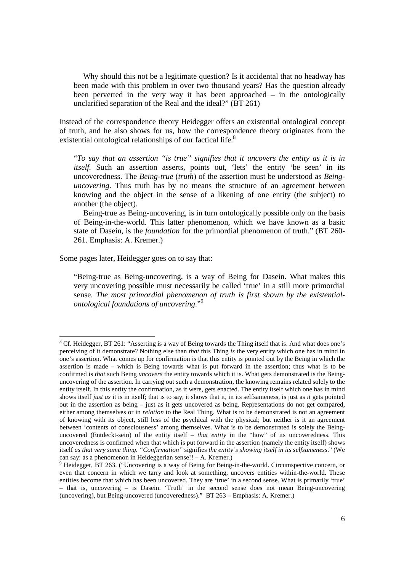Why should this not be a legitimate question? Is it accidental that no headway has been made with this problem in over two thousand years? Has the question already been perverted in the very way it has been approached – in the ontologically unclarified separation of the Real and the ideal?" (BT 261)

Instead of the correspondence theory Heidegger offers an existential ontological concept of truth, and he also shows for us, how the correspondence theory originates from the existential ontological relationships of our factical life.<sup>8</sup>

"*To say that an assertion "is true" signifies that it uncovers the entity as it is in itself.* Such an assertion asserts, points out, 'lets' the entity 'be seen' in its uncoveredness. The *Being-true* (*truth*) of the assertion must be understood as *Beinguncovering*. Thus truth has by no means the structure of an agreement between knowing and the object in the sense of a likening of one entity (the subject) to another (the object).

 Being-true as Being-uncovering, is in turn ontologically possible only on the basis of Being-in-the-world. This latter phenomenon, which we have known as a basic state of Dasein, is the *foundation* for the primordial phenomenon of truth." (BT 260- 261. Emphasis: A. Kremer.)

Some pages later, Heidegger goes on to say that:

-

"Being-true as Being-uncovering, is a way of Being for Dasein. What makes this very uncovering possible must necessarily be called 'true' in a still more primordial sense. *The most primordial phenomenon of truth is first shown by the existentialontological foundations of uncovering*."<sup>9</sup>

<sup>&</sup>lt;sup>8</sup> Cf. Heidegger, BT 261: "Asserting is a way of Being towards the Thing itself that is. And what does one's perceiving of it demonstrate? Nothing else than *that* this Thing *is* the very entity which one has in mind in one's assertion. What comes up for confirmation is that this entity is pointed out by the Being in which the assertion is made – which is Being towards what is put forward in the assertion; thus what is to be confirmed is *that* such Being *uncovers* the entity towards which it is. What gets demonstrated is the Beinguncovering of the assertion. In carrying out such a demonstration, the knowing remains related solely to the entity itself. In this entity the confirmation, as it were, gets enacted. The entity itself which one has in mind shows itself *just as* it is in itself; that is to say, it shows that it, in its selfsameness, is just as *it* gets pointed out in the assertion as being – just as it gets uncovered as being. Representations do not get compared, either among themselves or in *relation* to the Real Thing. What is to be demonstrated is not an agreement of knowing with its object, still less of the psychical with the physical; but neither is it an agreement between 'contents of consciousness' among themselves. What is to be demonstrated is solely the Beinguncovered (Entdeckt-sein) of the entity itself – *that entity* in the "how" of its uncoveredness. This uncoveredness is confirmed when that which is put forward in the assertion (namely the entity itself) shows itself *as that very same thing. "Confirmation"* signifies *the entity's showing itself in its selfsameness*." (We can say: as a phenomenon in Heideggerian sense!! – A. Kremer.)

<sup>&</sup>lt;sup>9</sup> Heidegger, BT 263. ("Uncovering is a way of Being for Being-in-the-world. Circumspective concern, or even that concern in which we tarry and look at something, uncovers entities within-the-world. These entities become that which has been uncovered. They are 'true' in a second sense. What is primarily 'true' – that is, uncovering – is Dasein. 'Truth' in the second sense does not mean Being-uncovering (uncovering), but Being-uncovered (uncoveredness)." BT 263 – Emphasis: A. Kremer.)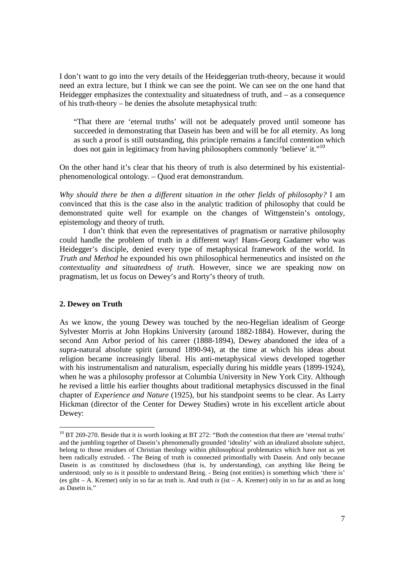I don't want to go into the very details of the Heideggerian truth-theory, because it would need an extra lecture, but I think we can see the point. We can see on the one hand that Heidegger emphasizes the contextuality and situatedness of truth, and – as a consequence of his truth-theory – he denies the absolute metaphysical truth:

"That there are 'eternal truths' will not be adequately proved until someone has succeeded in demonstrating that Dasein has been and will be for all eternity. As long as such a proof is still outstanding, this principle remains a fanciful contention which does not gain in legitimacy from having philosophers commonly 'believe' it."<sup>10</sup>

On the other hand it's clear that his theory of truth is also determined by his existentialphenomenological ontology. – Quod erat demonstrandum.

*Why should there be then a different situation in the other fields of philosophy?* I am convinced that this is the case also in the analytic tradition of philosophy that could be demonstrated quite well for example on the changes of Wittgenstein's ontology, epistemology and theory of truth.

 I don't think that even the representatives of pragmatism or narrative philosophy could handle the problem of truth in a different way! Hans-Georg Gadamer who was Heidegger's disciple, denied every type of metaphysical framework of the world. In *Truth and Method* he expounded his own philosophical hermeneutics and insisted on *the contextuality and situatedness of truth.* However, since we are speaking now on pragmatism, let us focus on Dewey's and Rorty's theory of truth.

## **2. Dewey on Truth**

-

As we know, the young Dewey was touched by the neo-Hegelian idealism of George Sylvester Morris at John Hopkins University (around 1882-1884). However, during the second Ann Arbor period of his career (1888-1894), Dewey abandoned the idea of a supra-natural absolute spirit (around 1890-94), at the time at which his ideas about religion became increasingly liberal. His anti-metaphysical views developed together with his instrumentalism and naturalism, especially during his middle years (1899-1924), when he was a philosophy professor at Columbia University in New York City. Although he revised a little his earlier thoughts about traditional metaphysics discussed in the final chapter of *Experience and Nature* (1925), but his standpoint seems to be clear. As Larry Hickman (director of the Center for Dewey Studies) wrote in his excellent article about Dewey:

 $10$  BT 269-270. Beside that it is worth looking at BT 272: "Both the contention that there are 'eternal truths' and the jumbling together of Dasein's phenomenally grounded 'ideality' with an idealized absolute subject, belong to those residues of Christian theology within philosophical problematics which have not as yet been radically extruded. - The Being of truth is connected primordially with Dasein. And only because Dasein is as constituted by disclosedness (that is, by understanding), can anything like Being be understood; only so is it possible to understand Being. - Being (not entities) is something which 'there is' (es gibt – A. Kremer) only in so far as truth is. And truth *is* (ist – A. Kremer) only in so far as and as long as Dasein is."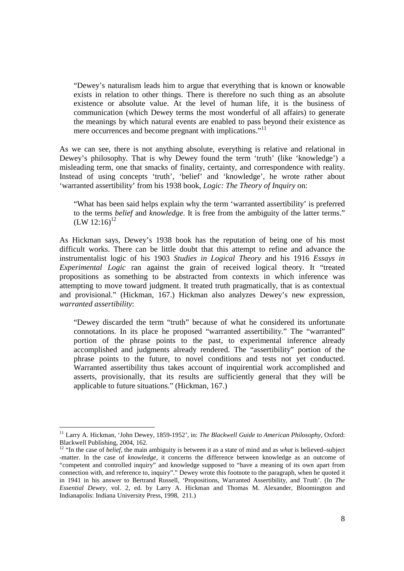"Dewey's naturalism leads him to argue that everything that is known or knowable exists in relation to other things. There is therefore no such thing as an absolute existence or absolute value. At the level of human life, it is the business of communication (which Dewey terms the most wonderful of all affairs) to generate the meanings by which natural events are enabled to pass beyond their existence as mere occurrences and become pregnant with implications."<sup>11</sup>

As we can see, there is not anything absolute, everything is relative and relational in Dewey's philosophy. That is why Dewey found the term 'truth' (like 'knowledge') a misleading term, one that smacks of finality, certainty, and correspondence with reality. Instead of using concepts 'truth', 'belief' and 'knowledge', he wrote rather about 'warranted assertibility' from his 1938 book, *Logic: The Theory of Inquiry* on:

"What has been said helps explain why the term 'warranted assertibility' is preferred to the terms *belief* and *knowledge*. It is free from the ambiguity of the latter terms."  $(LW 12:16)^{12}$ 

As Hickman says, Dewey's 1938 book has the reputation of being one of his most difficult works. There can be little doubt that this attempt to refine and advance the instrumentalist logic of his 1903 *Studies in Logical Theory* and his 1916 *Essays in Experimental Logic* ran against the grain of received logical theory. It "treated propositions as something to be abstracted from contexts in which inference was attempting to move toward judgment. It treated truth pragmatically, that is as contextual and provisional." (Hickman, 167.) Hickman also analyzes Dewey's new expression, *warranted assertibility*:

"Dewey discarded the term "truth" because of what he considered its unfortunate connotations. In its place he proposed "warranted assertibility." The "warranted" portion of the phrase points to the past, to experimental inference already accomplished and judgments already rendered. The "assertibility" portion of the phrase points to the future, to novel conditions and tests not yet conducted. Warranted assertibility thus takes account of inquirential work accomplished and asserts, provisionally, that its results are sufficiently general that they will be applicable to future situations." (Hickman, 167.)

<sup>&</sup>lt;sup>11</sup> Larry A. Hickman, 'John Dewey, 1859-1952', in: *The Blackwell Guide to American Philosophy*, Oxford: Blackwell Publishing, 2004, 162.

<sup>&</sup>lt;sup>12</sup> "In the case of *belief*, the main ambiguity is between it as a state of mind and as *what* is believed–subject -matter. In the case of *knowledge*, it concerns the difference between knowledge as an outcome of "competent and controlled inquiry" and knowledge supposed to "have a meaning of its own apart from connection with, and reference to, inquiry"." Dewey wrote this footnote to the paragraph, when he quoted it in 1941 in his answer to Bertrand Russell, 'Propositions, Warranted Assertibility, and Truth'. (In *The Essential Dewey*, vol. 2, ed. by Larry A. Hickman and Thomas M. Alexander, Bloomington and Indianapolis: Indiana University Press, 1998, 211.)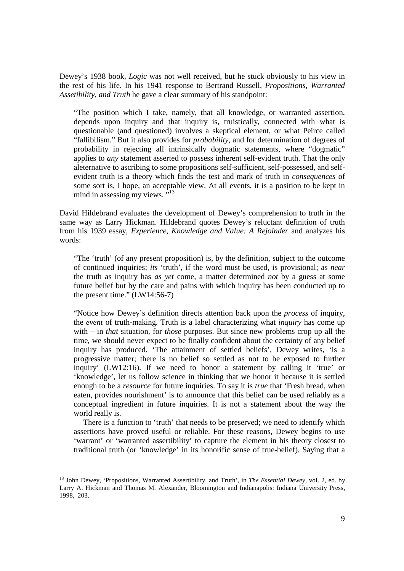Dewey's 1938 book, *Logic* was not well received, but he stuck obviously to his view in the rest of his life. In his 1941 response to Bertrand Russell, *Propositions, Warranted Assetibility, and Truth* he gave a clear summary of his standpoint:

"The position which I take, namely, that all knowledge, or warranted assertion, depends upon inquiry and that inquiry is, truistically, connected with what is questionable (and questioned) involves a skeptical element, or what Peirce called "fallibilism." But it also provides for *probability*, and for determination of degrees of probability in rejecting all intrinsically dogmatic statements, where "dogmatic" applies to *any* statement asserted to possess inherent self-evident truth. That the only aleternative to ascribing to some propositions self-sufficient, self-possessed, and selfevident truth is a theory which finds the test and mark of truth in *consequences* of some sort is, I hope, an acceptable view. At all events, it is a position to be kept in mind in assessing my views.  $\frac{13}{13}$ 

David Hildebrand evaluates the development of Dewey's comprehension to truth in the same way as Larry Hickman. Hildebrand quotes Dewey's reluctant definition of truth from his 1939 essay, *Experience, Knowledge and Value: A Rejoinder* and analyzes his words:

"The 'truth' (of any present proposition) is, by the definition, subject to the outcome of continued inquiries; *its* 'truth', if the word must be used, is provisional; as *near* the truth as inquiry has *as yet* come, a matter determined *not* by a guess at some future belief but by the care and pains with which inquiry has been conducted up to the present time." (LW14:56-7)

"Notice how Dewey's definition directs attention back upon the *process* of inquiry, the *event* of truth-making. Truth is a label characterizing what *inquiry* has come up with – in *that* situation, for *those* purposes. But since new problems crop up all the time, we should never expect to be finally confident about the certainty of any belief inquiry has produced. 'The attainment of settled beliefs', Dewey writes, 'is a progressive matter; there is no belief so settled as not to be exposed to further inquiry' (LW12:16). If we need to honor a statement by calling it 'true' or 'knowledge', let us follow science in thinking that we honor it because it is settled enough to be a *resource* for future inquiries. To say it is *true* that 'Fresh bread, when eaten, provides nourishment' is to announce that this belief can be used reliably as a conceptual ingredient in future inquiries. It is not a statement about the way the world really is.

 There is a function to 'truth' that needs to be preserved; we need to identify which assertions have proved useful or reliable. For these reasons, Dewey begins to use 'warrant' or 'warranted assertibility' to capture the element in his theory closest to traditional truth (or 'knowledge' in its honorific sense of true-belief). Saying that a

<sup>13</sup> John Dewey, 'Propositions, Warranted Assertibility, and Truth', in *The Essential Dewey*, vol. 2, ed. by Larry A. Hickman and Thomas M. Alexander, Bloomington and Indianapolis: Indiana University Press, 1998, 203.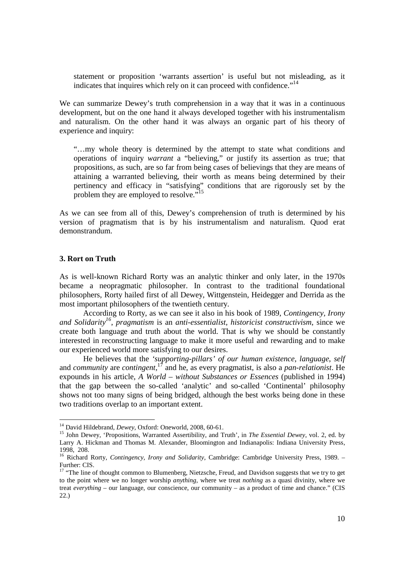statement or proposition 'warrants assertion' is useful but not misleading, as it indicates that inquires which rely on it can proceed with confidence."<sup>14</sup>

We can summarize Dewey's truth comprehension in a way that it was in a continuous development, but on the one hand it always developed together with his instrumentalism and naturalism. On the other hand it was always an organic part of his theory of experience and inquiry:

"…my whole theory is determined by the attempt to state what conditions and operations of inquiry *warrant* a "believing," or justify its assertion as true; that propositions, as such, are so far from being cases of believings that they are means of attaining a warranted believing, their worth as means being determined by their pertinency and efficacy in "satisfying" conditions that are rigorously set by the problem they are employed to resolve."<sup>15</sup>

As we can see from all of this, Dewey's comprehension of truth is determined by his version of pragmatism that is by his instrumentalism and naturalism. Quod erat demonstrandum.

### **3. Rort on Truth**

-

As is well-known Richard Rorty was an analytic thinker and only later, in the 1970s became a neopragmatic philosopher. In contrast to the traditional foundational philosophers, Rorty hailed first of all Dewey, Wittgenstein, Heidegger and Derrida as the most important philosophers of the twentieth century.

 According to Rorty, as we can see it also in his book of 1989, *Contingency, Irony and Solidarity<sup>16</sup>* , *pragmatism* is an *anti-essentialist, historicist constructivism*, since we create both language and truth about the world. That is why we should be constantly interested in reconstructing language to make it more useful and rewarding and to make our experienced world more satisfying to our desires.

 He believes that the *'supporting-pillars' of our human existence*, *language*, *self*  and *community* are *contingent*,<sup>17</sup> and he, as every pragmatist, is also a *pan-relationist*. He expounds in his article, *A World – without Substances or Essences* (published in 1994) that the gap between the so-called 'analytic' and so-called 'Continental' philosophy shows not too many signs of being bridged, although the best works being done in these two traditions overlap to an important extent.

<sup>14</sup> David Hildebrand, *Dewey*, Oxford: Oneworld, 2008, 60-61.

<sup>15</sup> John Dewey, 'Propositions, Warranted Assertibility, and Truth', in *The Essential Dewey*, vol. 2, ed. by Larry A. Hickman and Thomas M. Alexander, Bloomington and Indianapolis: Indiana University Press, 1998, 208.

<sup>16</sup> Richard Rorty, *Contingency, Irony and Solidarity*, Cambridge: Cambridge University Press, 1989. – Further: CIS.

<sup>&</sup>lt;sup>17</sup> "The line of thought common to Blumenberg, Nietzsche, Freud, and Davidson suggests that we try to get to the point where we no longer worship *anything*, where we treat *nothing* as a quasi divinity, where we treat *everything* – our language, our conscience, our community – as a product of time and chance." (CIS 22.)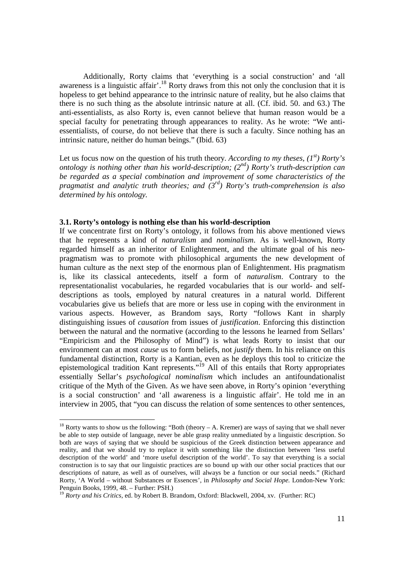Additionally, Rorty claims that 'everything is a social construction' and 'all awareness is a linguistic affair'.<sup>18</sup> Rorty draws from this not only the conclusion that it is hopeless to get behind appearance to the intrinsic nature of reality, but he also claims that there is no such thing as the absolute intrinsic nature at all. (Cf. ibid. 50. and 63.) The anti-essentialists, as also Rorty is, even cannot believe that human reason would be a special faculty for penetrating through appearances to reality. As he wrote: "We antiessentialists, of course, do not believe that there is such a faculty. Since nothing has an intrinsic nature, neither do human beings." (Ibid. 63)

Let us focus now on the question of his truth theory. *According to my theses, (1st) Rorty's ontology is nothing other than his world-description; (2nd) Rorty's truth-description can be regarded as a special combination and improvement of some characteristics of the pragmatist and analytic truth theories; and (3rd) Rorty's truth-comprehension is also determined by his ontology.* 

#### **3.1. Rorty's ontology is nothing else than his world-description**

If we concentrate first on Rorty's ontology, it follows from his above mentioned views that he represents a kind of *naturalism* and *nominalism*. As is well-known, Rorty regarded himself as an inheritor of Enlightenment, and the ultimate goal of his neopragmatism was to promote with philosophical arguments the new development of human culture as the next step of the enormous plan of Enlightenment. His pragmatism is, like its classical antecedents, itself a form of *naturalism*. Contrary to the representationalist vocabularies, he regarded vocabularies that is our world- and selfdescriptions as tools, employed by natural creatures in a natural world. Different vocabularies give us beliefs that are more or less use in coping with the environment in various aspects. However, as Brandom says, Rorty "follows Kant in sharply distinguishing issues of *causation* from issues of *justification*. Enforcing this distinction between the natural and the normative (according to the lessons he learned from Sellars' "Empiricism and the Philosophy of Mind") is what leads Rorty to insist that our environment can at most *cause* us to form beliefs, not *justify* them. In his reliance on this fundamental distinction, Rorty is a Kantian, even as he deploys this tool to criticize the epistemological tradition Kant represents."<sup>19</sup> All of this entails that Rorty appropriates essentially Sellar's *psychological nominalism* which includes an antifoundationalist critique of the Myth of the Given. As we have seen above, in Rorty's opinion 'everything is a social construction' and 'all awareness is a linguistic affair'. He told me in an interview in 2005, that "you can discuss the relation of some sentences to other sentences,

<sup>&</sup>lt;sup>18</sup> Rorty wants to show us the following: "Both (theory  $- A$ . Kremer) are ways of saying that we shall never be able to step outside of language, never be able grasp reality unmediated by a linguistic description. So both are ways of saying that we should be suspicious of the Greek distinction between appearance and reality, and that we should try to replace it with something like the distinction between 'less useful description of the world' and 'more useful description of the world'. To say that everything is a social construction is to say that our linguistic practices are so bound up with our other social practices that our descriptions of nature, as well as of ourselves, will always be a function or our social needs." (Richard Rorty, 'A World – without Substances or Essences', in *Philosophy and Social Hope.* London-New York: Penguin Books, 1999, 48. – Further: PSH.)

<sup>19</sup> *Rorty and his Critics*, ed. by Robert B. Brandom, Oxford: Blackwell, 2004, xv. (Further: RC)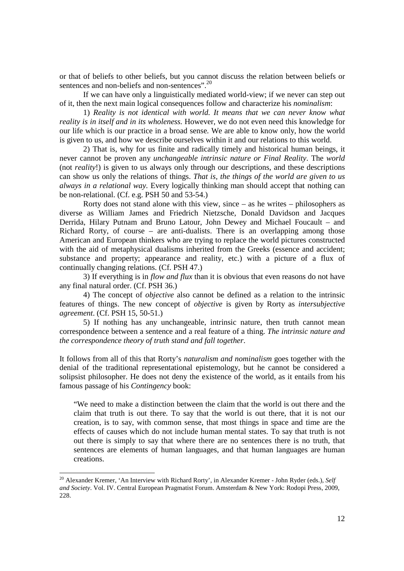or that of beliefs to other beliefs, but you cannot discuss the relation between beliefs or sentences and non-beliefs and non-sentences".<sup>20</sup>

 If we can have only a linguistically mediated world-view; if we never can step out of it, then the next main logical consequences follow and characterize his *nominalism*:

 1) *Reality is not identical with world. It means that we can never know what reality is in itself and in its wholeness.* However, we do not even need this knowledge for our life which is our practice in a broad sense. We are able to know only, how the world is given to us, and how we describe ourselves within it and our relations to this world.

 2) That is, why for us finite and radically timely and historical human beings, it never cannot be proven any *unchangeable intrinsic nature or Final Reality*. The *world* (not *reality*!) is given to us always only through our descriptions, and these descriptions can show us only the relations of things. *That is, the things of the world are given to us always in a relational way.* Every logically thinking man should accept that nothing can be non-relational. (Cf. e.g. PSH 50 and 53-54.)

 Rorty does not stand alone with this view, since – as he writes – philosophers as diverse as William James and Friedrich Nietzsche, Donald Davidson and Jacques Derrida, Hilary Putnam and Bruno Latour, John Dewey and Michael Foucault – and Richard Rorty, of course – are anti-dualists. There is an overlapping among those American and European thinkers who are trying to replace the world pictures constructed with the aid of metaphysical dualisms inherited from the Greeks (essence and accident; substance and property; appearance and reality, etc.) with a picture of a flux of continually changing relations. (Cf. PSH 47.)

 3) If everything is in *flow and flux* than it is obvious that even reasons do not have any final natural order. (Cf. PSH 36.)

 4) The concept of *objective* also cannot be defined as a relation to the intrinsic features of things. The new concept of *objective* is given by Rorty as *intersubjective agreement*. (Cf. PSH 15, 50-51.)

 5) If nothing has any unchangeable, intrinsic nature, then truth cannot mean correspondence between a sentence and a real feature of a thing. *The intrinsic nature and the correspondence theory of truth stand and fall together*.

It follows from all of this that Rorty's *naturalism and nominalism* goes together with the denial of the traditional representational epistemology, but he cannot be considered a solipsist philosopher. He does not deny the existence of the world, as it entails from his famous passage of his *Contingency* book:

"We need to make a distinction between the claim that the world is out there and the claim that truth is out there. To say that the world is out there, that it is not our creation, is to say, with common sense, that most things in space and time are the effects of causes which do not include human mental states. To say that truth is not out there is simply to say that where there are no sentences there is no truth, that sentences are elements of human languages, and that human languages are human creations.

<sup>20</sup> Alexander Kremer, 'An Interview with Richard Rorty', in Alexander Kremer - John Ryder (eds.), *Self and Society*. Vol. IV. Central European Pragmatist Forum. Amsterdam & New York: Rodopi Press, 2009, 228.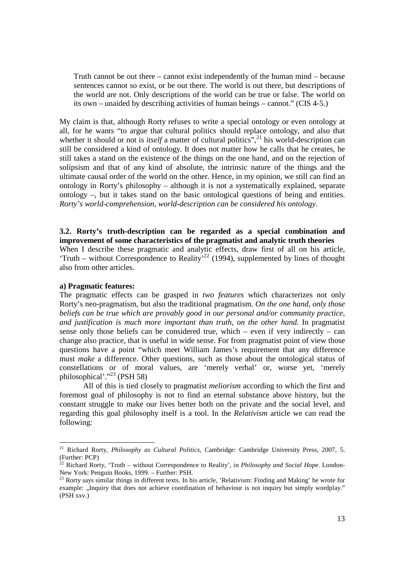Truth cannot be out there – cannot exist independently of the human mind – because sentences cannot so exist, or be out there. The world is out there, but descriptions of the world are not. Only descriptions of the world can be true or false. The world on its own – unaided by describing activities of human beings – cannot." (CIS 4-5.)

My claim is that, although Rorty refuses to write a special ontology or even ontology at all, for he wants "to argue that cultural politics should replace ontology, and also that whether it should or not is *itself* a matter of cultural politics",<sup>21</sup> his world-description can still be considered a kind of ontology. It does not matter how he calls that he creates, he still takes a stand on the existence of the things on the one hand, and on the rejection of solipsism and that of any kind of absolute, the intrinsic nature of the things and the ultimate causal order of the world on the other. Hence, in my opinion, we still can find an ontology in Rorty's philosophy – although it is not a systematically explained, separate ontology –, but it takes stand on the basic ontological questions of being and entities. *Rorty's world-comprehension, world-description can be considered his ontology*.

**3.2. Rorty's truth-description can be regarded as a special combination and improvement of some characteristics of the pragmatist and analytic truth theories**  When I describe these pragmatic and analytic effects, draw first of all on his article, 'Truth – without Correspondence to Reality<sup>22</sup> (1994), supplemented by lines of thought also from other articles.

## **a) Pragmatic features:**

-

The pragmatic effects can be grasped in *two features* which characterizes not only Rorty's neo-pragmatism, but also the traditional pragmatism. *On the one hand, only those beliefs can be true which are provably good in our personal and/or community practice, and justification is much more important than truth, on the other hand.* In pragmatist sense only those beliefs can be considered true, which – even if very indirectly – can change also practice, that is useful in wide sense. For from pragmatist point of view those questions have a point "which meet William James's requirement that any difference must *make* a difference. Other questions, such as those about the ontological status of constellations or of moral values, are 'merely verbal' or, worse yet, 'merely philosophical'."<sup>23</sup> (PSH 58)

 All of this is tied closely to pragmatist *meliorism* according to which the first and foremost goal of philosophy is not to find an eternal substance above history, but the constant struggle to make our lives better both on the private and the social level, and regarding this goal philosophy itself is a tool. In the *Relativism* article we can read the following:

<sup>21</sup> Richard Rorty, *Philosophy as Cultural Politics,* Cambridge: Cambridge University Press, 2007, 5. (Further: PCP)

<sup>22</sup> Richard Rorty, 'Truth – without Correspondence to Reality', in *Philosophy and Social Hope.* London-New York: Penguin Books, 1999. – Further: PSH.

<sup>&</sup>lt;sup>23</sup> Rorty says similar things in different texts. In his article, 'Relativism: Finding and Making' he wrote for example: "Inquiry that does not achieve coordination of behaviour is not inquiry but simply wordplay." (PSH xxv.)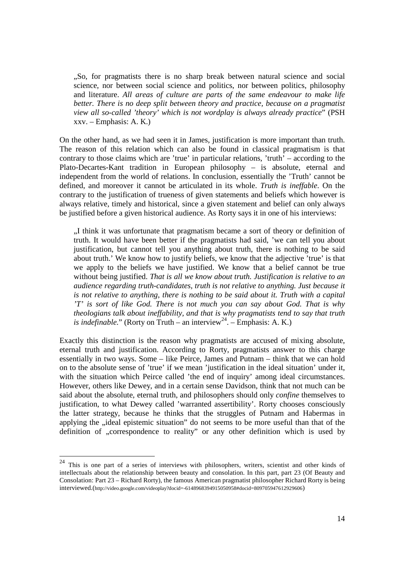"So, for pragmatists there is no sharp break between natural science and social science, nor between social science and politics, nor between politics, philosophy and literature. *All areas of culture are parts of the same endeavour to make life better. There is no deep split between theory and practice, because on a pragmatist view all so-called 'theory' which is not wordplay is always already practice*" (PSH xxv. – Emphasis: A. K.)

On the other hand, as we had seen it in James, justification is more important than truth. The reason of this relation which can also be found in classical pragmatism is that contrary to those claims which are 'true' in particular relations, 'truth' – according to the Plato-Decartes-Kant tradition in European philosophy – is absolute, eternal and independent from the world of relations. In conclusion, essentially the 'Truth' cannot be defined, and moreover it cannot be articulated in its whole. *Truth is ineffable*. On the contrary to the justification of trueness of given statements and beliefs which however is always relative, timely and historical, since a given statement and belief can only always be justified before a given historical audience. As Rorty says it in one of his interviews:

"I think it was unfortunate that pragmatism became a sort of theory or definition of truth. It would have been better if the pragmatists had said, 'we can tell you about justification, but cannot tell you anything about truth, there is nothing to be said about truth.' We know how to justify beliefs, we know that the adjective 'true' is that we apply to the beliefs we have justified. We know that a belief cannot be true without being justified. *That is all we know about truth. Justification is relative to an audience regarding truth-candidates, truth is not relative to anything. Just because it is not relative to anything, there is nothing to be said about it. Truth with a capital 'T' is sort of like God. There is not much you can say about God. That is why theologians talk about ineffability, and that is why pragmatists tend to say that truth is indefinable.*" (Rorty on Truth – an interview<sup>24</sup>. – Emphasis: A. K.)

Exactly this distinction is the reason why pragmatists are accused of mixing absolute, eternal truth and justification. According to Rorty, pragmatists answer to this charge essentially in two ways. Some – like Peirce, James and Putnam – think that we can hold on to the absolute sense of 'true' if we mean 'justification in the ideal situation' under it, with the situation which Peirce called 'the end of inquiry' among ideal circumstances. However, others like Dewey, and in a certain sense Davidson, think that not much can be said about the absolute, eternal truth, and philosophers should only *confine* themselves to justification, to what Dewey called 'warranted assertibility'. Rorty chooses consciously the latter strategy, because he thinks that the struggles of Putnam and Habermas in applying the "ideal epistemic situation" do not seems to be more useful than that of the definition of "correspondence to reality" or any other definition which is used by

 $24$  This is one part of a series of interviews with philosophers, writers, scientist and other kinds of intellectuals about the relationship between beauty and consolation. In this part, part 23 (Of Beauty and Consolation: Part 23 – Richard Rorty), the famous American pragmatist philosopher Richard Rorty is being interviewed.(http://video.google.com/videoplay?docid=-6148968394915050958#docid=809705947612929606)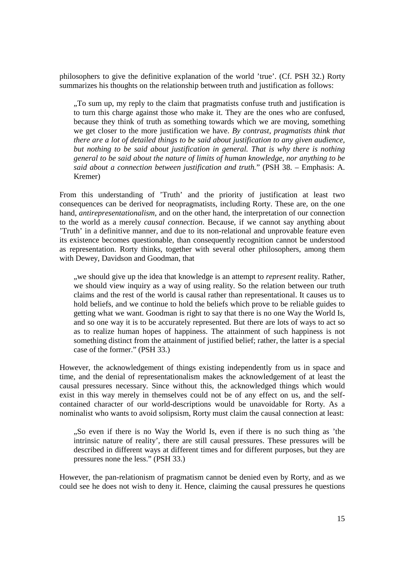philosophers to give the definitive explanation of the world 'true'. (Cf. PSH 32.) Rorty summarizes his thoughts on the relationship between truth and justification as follows:

"To sum up, my reply to the claim that pragmatists confuse truth and justification is to turn this charge against those who make it. They are the ones who are confused, because they think of truth as something towards which we are moving, something we get closer to the more justification we have. *By contrast, pragmatists think that there are a lot of detailed things to be said about justification to any given audience, but nothing to be said about justification in general. That is why there is nothing general to be said about the nature of limits of human knowledge, nor anything to be said about a connection between justification and truth.*" (PSH 38. – Emphasis: A. Kremer)

From this understanding of 'Truth' and the priority of justification at least two consequences can be derived for neopragmatists, including Rorty. These are, on the one hand, *antirepresentationalism*, and on the other hand, the interpretation of our connection to the world as a merely *causal connection*. Because, if we cannot say anything about 'Truth' in a definitive manner, and due to its non-relational and unprovable feature even its existence becomes questionable, than consequently recognition cannot be understood as representation. Rorty thinks, together with several other philosophers, among them with Dewey, Davidson and Goodman, that

", we should give up the idea that knowledge is an attempt to *represent* reality. Rather, we should view inquiry as a way of using reality. So the relation between our truth claims and the rest of the world is causal rather than representational. It causes us to hold beliefs, and we continue to hold the beliefs which prove to be reliable guides to getting what we want. Goodman is right to say that there is no one Way the World Is, and so one way it is to be accurately represented. But there are lots of ways to act so as to realize human hopes of happiness. The attainment of such happiness is not something distinct from the attainment of justified belief; rather, the latter is a special case of the former." (PSH 33.)

However, the acknowledgement of things existing independently from us in space and time, and the denial of representationalism makes the acknowledgement of at least the causal pressures necessary. Since without this, the acknowledged things which would exist in this way merely in themselves could not be of any effect on us, and the selfcontained character of our world-descriptions would be unavoidable for Rorty. As a nominalist who wants to avoid solipsism, Rorty must claim the causal connection at least:

"So even if there is no Way the World Is, even if there is no such thing as 'the intrinsic nature of reality', there are still causal pressures. These pressures will be described in different ways at different times and for different purposes, but they are pressures none the less." (PSH 33.)

However, the pan-relationism of pragmatism cannot be denied even by Rorty, and as we could see he does not wish to deny it. Hence, claiming the causal pressures he questions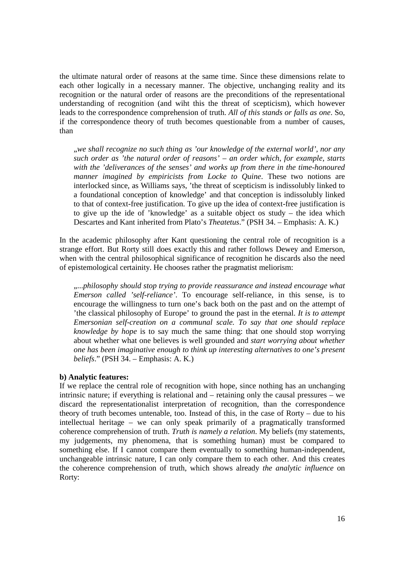the ultimate natural order of reasons at the same time. Since these dimensions relate to each other logically in a necessary manner. The objective, unchanging reality and its recognition or the natural order of reasons are the preconditions of the representational understanding of recognition (and wiht this the threat of scepticism), which however leads to the correspondence comprehension of truth. *All of this stands or falls as one*. So, if the correspondence theory of truth becomes questionable from a number of causes, than

"*we shall recognize no such thing as 'our knowledge of the external world', nor any such order as 'the natural order of reasons' – an order which, for example, starts with the 'deliverances of the senses' and works up from there in the time-honoured manner imagined by empiricists from Locke to Quine*. These two notions are interlocked since, as Williams says, 'the threat of scepticism is indissolubly linked to a foundational conception of knowledge' and that conception is indissolubly linked to that of context-free justification. To give up the idea of context-free justification is to give up the ide of 'knowledge' as a suitable object os study – the idea which Descartes and Kant inherited from Plato's *Theatetus*." (PSH 34. – Emphasis: A. K.)

In the academic philosophy after Kant questioning the central role of recognition is a strange effort. But Rorty still does exactly this and rather follows Dewey and Emerson, when with the central philosophical significance of recognition he discards also the need of epistemological certainity. He chooses rather the pragmatist meliorism:

....philosophy should stop trying to provide reassurance and instead encourage what *Emerson called 'self-reliance'*. To encourage self-reliance, in this sense, is to encourage the willingness to turn one's back both on the past and on the attempt of 'the classical philosophy of Europe' to ground the past in the eternal. *It is to attempt Emersonian self-creation on a communal scale. To say that one should replace knowledge by hope* is to say much the same thing: that one should stop worrying about whether what one believes is well grounded and *start worrying about whether one has been imaginative enough to think up interesting alternatives to one's present beliefs*." (PSH 34. – Emphasis: A. K.)

## **b) Analytic features:**

If we replace the central role of recognition with hope, since nothing has an unchanging intrinsic nature; if everything is relational and – retaining only the causal pressures – we discard the representationalist interpretation of recognition, than the correspondence theory of truth becomes untenable, too. Instead of this, in the case of Rorty – due to his intellectual heritage – we can only speak primarily of a pragmatically transformed coherence comprehension of truth. *Truth is namely a relation*. My beliefs (my statements, my judgements, my phenomena, that is something human) must be compared to something else. If I cannot compare them eventually to something human-independent, unchangeable intrinsic nature, I can only compare them to each other. And this creates the coherence comprehension of truth, which shows already *the analytic influence* on Rorty: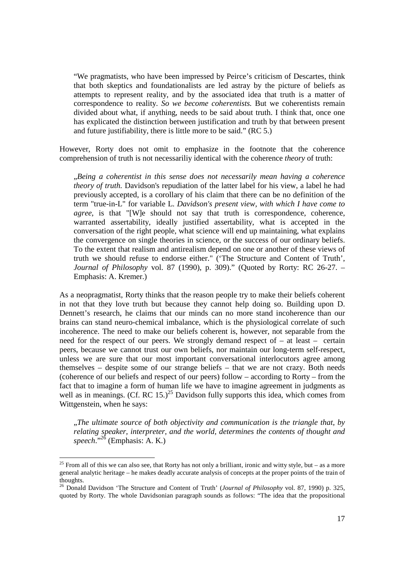"We pragmatists, who have been impressed by Peirce's criticism of Descartes, think that both skeptics and foundationalists are led astray by the picture of beliefs as attempts to represent reality, and by the associated idea that truth is a matter of correspondence to reality. *So we become coherentists.* But we coherentists remain divided about what, if anything, needs to be said about truth. I think that, once one has explicated the distinction between justification and truth by that between present and future justifiability, there is little more to be said." (RC 5.)

However, Rorty does not omit to emphasize in the footnote that the coherence comprehension of truth is not necessariliy identical with the coherence *theory* of truth:

"*Being a coherentist in this sense does not necessarily mean having a coherence theory of truth.* Davidson's repudiation of the latter label for his view, a label he had previously accepted, is a corollary of his claim that there can be no definition of the term "true-in-L" for variable L. *Davidson's present view, with which I have come to agree*, is that "[W]e should not say that truth is correspondence, coherence, warranted assertability, ideally justified assertability, what is accepted in the conversation of the right people, what science will end up maintaining, what explains the convergence on single theories in science, or the success of our ordinary beliefs. To the extent that realism and antirealism depend on one or another of these views of truth we should refuse to endorse either." ('The Structure and Content of Truth', *Journal of Philosophy* vol. 87 (1990), p. 309)." (Quoted by Rorty: RC 26-27. – Emphasis: A. Kremer.)

As a neopragmatist, Rorty thinks that the reason people try to make their beliefs coherent in not that they love truth but because they cannot help doing so. Building upon D. Dennett's research, he claims that our minds can no more stand incoherence than our brains can stand neuro-chemical imbalance, which is the physiological correlate of such incoherence. The need to make our beliefs coherent is, however, not separable from the need for the respect of our peers. We strongly demand respect of  $-$  at least  $-$  certain peers, because we cannot trust our own beliefs, nor maintain our long-term self-respect, unless we are sure that our most important conversational interlocutors agree among themselves – despite some of our strange beliefs – that we are not crazy. Both needs (coherence of our beliefs and respect of our peers) follow – according to Rorty – from the fact that to imagine a form of human life we have to imagine agreement in judgments as well as in meanings. (Cf. RC  $15.$ )<sup>25</sup> Davidson fully supports this idea, which comes from Wittgenstein, when he says:

"*The ultimate source of both objectivity and communication is the triangle that, by relating speaker, interpreter, and the world, determines the contents of thought and speech*."<sup>26</sup> (Emphasis: A. K.)

<sup>&</sup>lt;sup>25</sup> From all of this we can also see, that Rorty has not only a brilliant, ironic and witty style, but – as a more general analytic heritage – he makes deadly accurate analysis of concepts at the proper points of the train of thoughts.

<sup>26</sup> Donald Davidson 'The Structure and Content of Truth' (*Journal of Philosophy* vol. 87, 1990) p. 325, quoted by Rorty. The whole Davidsonian paragraph sounds as follows: "The idea that the propositional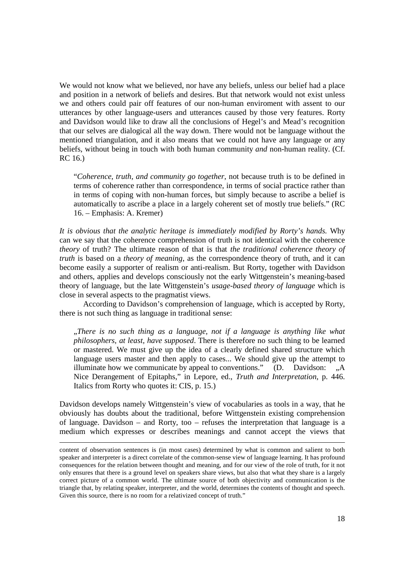We would not know what we believed, nor have any beliefs, unless our belief had a place and position in a network of beliefs and desires. But that network would not exist unless we and others could pair off features of our non-human enviroment with assent to our utterances by other language-users and utterances caused by those very features. Rorty and Davidson would like to draw all the conclusions of Hegel's and Mead's recognition that our selves are dialogical all the way down. There would not be language without the mentioned triangulation, and it also means that we could not have any language or any beliefs, without being in touch with both human community *and* non-human reality. (Cf. RC 16.)

"*Coherence, truth, and community go together*, not because truth is to be defined in terms of coherence rather than correspondence, in terms of social practice rather than in terms of coping with non-human forces, but simply because to ascribe a belief is automatically to ascribe a place in a largely coherent set of mostly true beliefs." (RC 16. – Emphasis: A. Kremer)

*It is obvious that the analytic heritage is immediately modified by Rorty's hands.* Why can we say that the coherence comprehension of truth is not identical with the coherence *theory* of truth? The ultimate reason of that is that *the traditional coherence theory of truth* is based on a *theory of meaning*, as the correspondence theory of truth, and it can become easily a supporter of realism or anti-realism. But Rorty, together with Davidson and others, applies and develops consciously not the early Wittgenstein's meaning-based theory of language, but the late Wittgenstein's *usage-based theory of language* which is close in several aspects to the pragmatist views.

 According to Davidson's comprehension of language, which is accepted by Rorty, there is not such thing as language in traditional sense:

"*There is no such thing as a language, not if a language is anything like what philosophers, at least, have supposed*. There is therefore no such thing to be learned or mastered. We must give up the idea of a clearly defined shared structure which language users master and then apply to cases... We should give up the attempt to illuminate how we communicate by appeal to conventions."  $(D.$  Davidson:  $, A$ Nice Derangement of Epitaphs," in Lepore, ed., *Truth and Interpretation*, p. 446. Italics from Rorty who quotes it: CIS, p. 15.)

Davidson develops namely Wittgenstein's view of vocabularies as tools in a way, that he obviously has doubts about the traditional, before Wittgenstein existing comprehension of language. Davidson – and Rorty, too – refuses the interpretation that language is a medium which expresses or describes meanings and cannot accept the views that

content of observation sentences is (in most cases) determined by what is common and salient to both speaker and interpreter is a direct correlate of the common-sense view of language learning. It has profound consequences for the relation between thought and meaning, and for our view of the role of truth, for it not only ensures that there is a ground level on speakers share views, but also that what they share is a largely correct picture of a common world. The ultimate source of both objectivity and communication is the triangle that, by relating speaker, interpreter, and the world, determines the contents of thought and speech. Given this source, there is no room for a relativized concept of truth."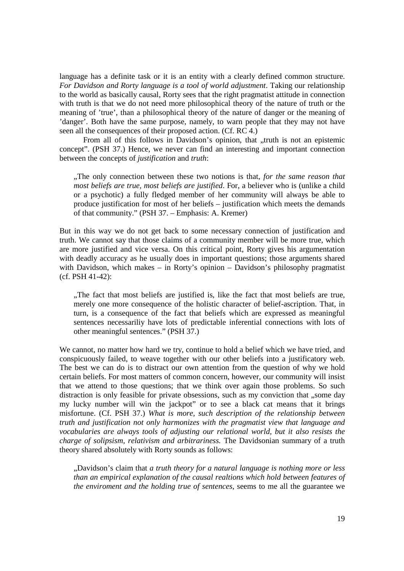language has a definite task or it is an entity with a clearly defined common structure. *For Davidson and Rorty language is a tool of world adjustment*. Taking our relationship to the world as basically causal, Rorty sees that the right pragmatist attitude in connection with truth is that we do not need more philosophical theory of the nature of truth or the meaning of 'true', than a philosophical theory of the nature of danger or the meaning of 'danger'. Both have the same purpose, namely, to warn people that they may not have seen all the consequences of their proposed action. (Cf. RC 4.)

From all of this follows in Davidson's opinion, that "truth is not an epistemic concept". (PSH 37.) Hence, we never can find an interesting and important connection between the concepts of *justification* and *truth*:

"The only connection between these two notions is that, *for the same reason that most beliefs are true, most beliefs are justified*. For, a believer who is (unlike a child or a psychotic) a fully fledged member of her community will always be able to produce justification for most of her beliefs – justification which meets the demands of that community." (PSH 37. – Emphasis: A. Kremer)

But in this way we do not get back to some necessary connection of justification and truth. We cannot say that those claims of a community member will be more true, which are more justified and vice versa. On this critical point, Rorty gives his argumentation with deadly accuracy as he usually does in important questions; those arguments shared with Davidson, which makes – in Rorty's opinion – Davidson's philosophy pragmatist (cf. PSH 41-42):

..The fact that most beliefs are justified is, like the fact that most beliefs are true, merely one more consequence of the holistic character of belief-ascription. That, in turn, is a consequence of the fact that beliefs which are expressed as meaningful sentences necessariliy have lots of predictable inferential connections with lots of other meaningful sentences." (PSH 37.)

We cannot, no matter how hard we try, continue to hold a belief which we have tried, and conspicuously failed, to weave together with our other beliefs into a justificatory web. The best we can do is to distract our own attention from the question of why we hold certain beliefs. For most matters of common concern, however, our community will insist that we attend to those questions; that we think over again those problems. So such distraction is only feasible for private obsessions, such as my conviction that "some day my lucky number will win the jackpot" or to see a black cat means that it brings misfortune. (Cf. PSH 37.) *What is more, such description of the relationship between truth and justification not only harmonizes with the pragmatist view that language and vocabularies are always tools of adjusting our relational world, but it also resists the charge of solipsism, relativism and arbitrariness.* The Davidsonian summary of a truth theory shared absolutely with Rorty sounds as follows:

"Davidson's claim that *a truth theory for a natural language is nothing more or less than an empirical explanation of the causal realtions which hold between features of the enviroment and the holding true of sentences*, seems to me all the guarantee we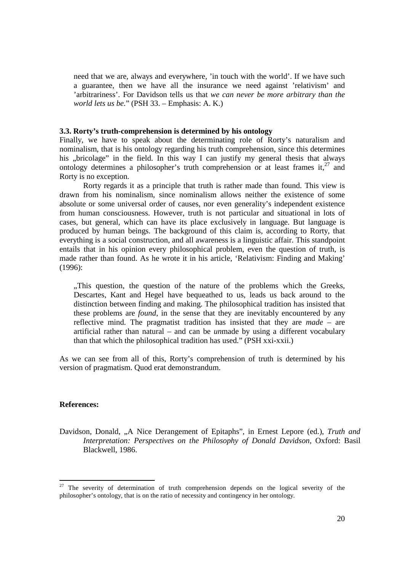need that we are, always and everywhere, 'in touch with the world'. If we have such a guarantee, then we have all the insurance we need against 'relativism' and 'arbitrariness'. For Davidson tells us that *we can never be more arbitrary than the world lets us be*." (PSH 33. – Emphasis: A. K.)

### **3.3. Rorty's truth-comprehension is determined by his ontology**

Finally, we have to speak about the determinating role of Rorty's naturalism and nominalism, that is his ontology regarding his truth comprehension, since this determines his "bricolage" in the field. In this way I can justify my general thesis that always ontology determines a philosopher's truth comprehension or at least frames it,  $27$  and Rorty is no exception.

 Rorty regards it as a principle that truth is rather made than found. This view is drawn from his nominalism, since nominalism allows neither the existence of some absolute or some universal order of causes, nor even generality's independent existence from human consciousness. However, truth is not particular and situational in lots of cases, but general, which can have its place exclusively in language. But language is produced by human beings. The background of this claim is, according to Rorty, that everything is a social construction, and all awareness is a linguistic affair. This standpoint entails that in his opinion every philosophical problem, even the question of truth, is made rather than found. As he wrote it in his article, 'Relativism: Finding and Making' (1996):

"This question, the question of the nature of the problems which the Greeks, Descartes, Kant and Hegel have bequeathed to us, leads us back around to the distinction between finding and making. The philosophical tradition has insisted that these problems are *found*, in the sense that they are inevitably encountered by any reflective mind. The pragmatist tradition has insisted that they are *made* – are artificial rather than natural – and can be *un*made by using a different vocabulary than that which the philosophical tradition has used." (PSH xxi-xxii.)

As we can see from all of this, Rorty's comprehension of truth is determined by his version of pragmatism. Quod erat demonstrandum.

#### **References:**

<u>.</u>

Davidson, Donald, "A Nice Derangement of Epitaphs", in Ernest Lepore (ed.), *Truth and Interpretation: Perspectives on the Philosophy of Donald Davidson, Oxford: Basil* Blackwell, 1986.

 $27$  The severity of determination of truth comprehension depends on the logical severity of the philosopher's ontology, that is on the ratio of necessity and contingency in her ontology.